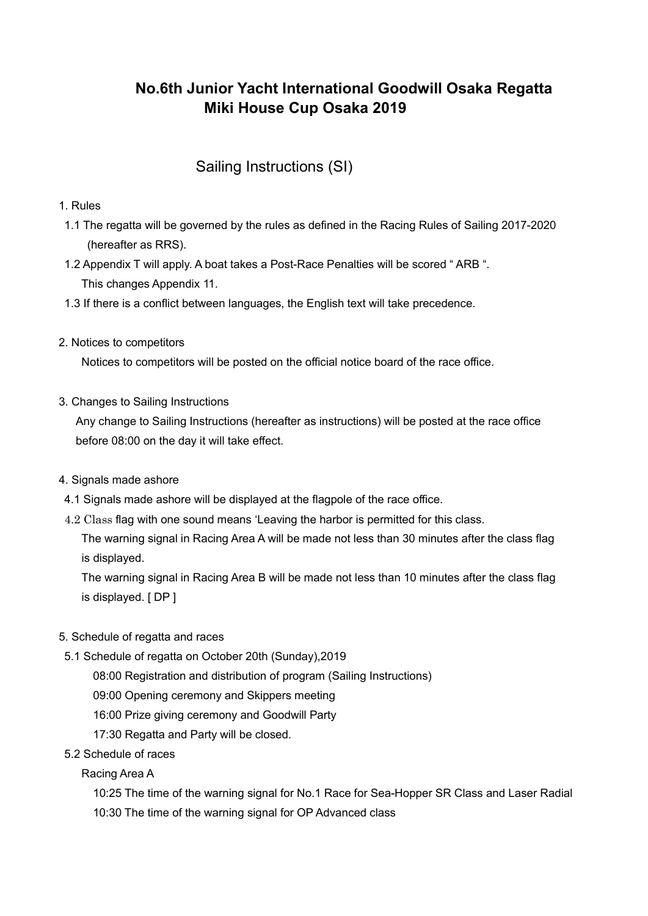# **No.6th Junior Yacht International Goodwill Osaka Regatta Miki House Cup Osaka 2019**

# Sailing Instructions (SI)

# 1. Rules

- 1.1 The regatta will be governed by the rules as defined in the Racing Rules of Sailing 2017-2020 (hereafter as RRS).
- 1.2 Appendix T will apply. A boat takes a Post-Race Penalties will be scored " ARB ". This changes Appendix 11.
- 1.3 If there is a conflict between languages, the English text will take precedence.
- 2. Notices to competitors

Notices to competitors will be posted on the official notice board of the race office.

3. Changes to Sailing Instructions

 Any change to Sailing Instructions (hereafter as instructions) will be posted at the race office before 08:00 on the day it will take effect.

- 4. Signals made ashore
- 4.1 Signals made ashore will be displayed at the flagpole of the race office.
- 4.2 Class flag with one sound means 'Leaving the harbor is permitted for this class.

 The warning signal in Racing Area A will be made not less than 30 minutes after the class flag is displayed.

 The warning signal in Racing Area B will be made not less than 10 minutes after the class flag is displayed. [ DP ]

- 5. Schedule of regatta and races
	- 5.1 Schedule of regatta on October 20th (Sunday),2019
		- 08:00 Registration and distribution of program (Sailing Instructions)
		- 09:00 Opening ceremony and Skippers meeting
		- 16:00 Prize giving ceremony and Goodwill Party
		- 17:30 Regatta and Party will be closed.
- 5.2 Schedule of races

Racing Area A

10:25 The time of the warning signal for No.1 Race for Sea-Hopper SR Class and Laser Radial

10:30 The time of the warning signal for OP Advanced class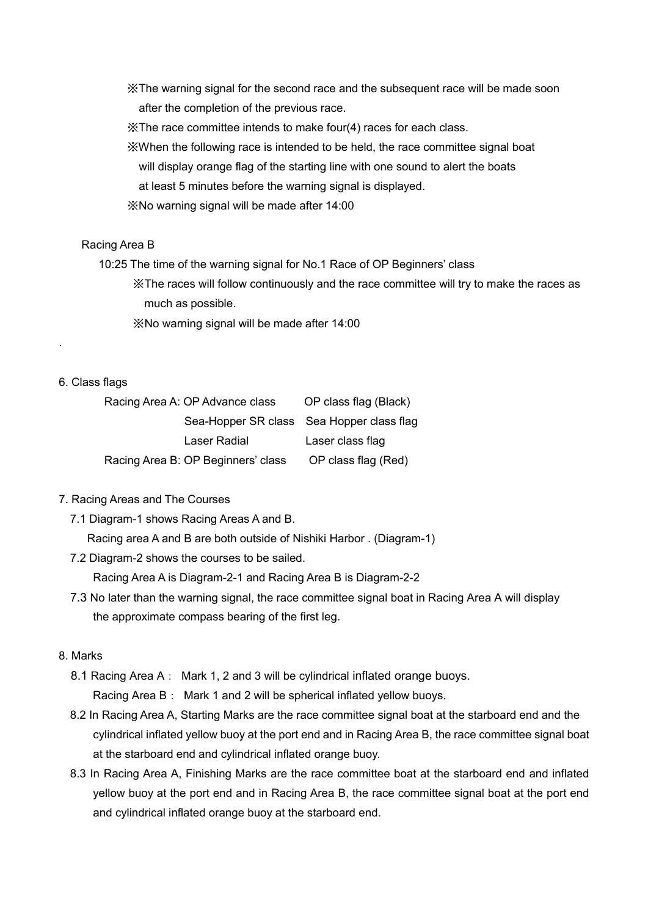※The warning signal for the second race and the subsequent race will be made soon after the completion of the previous race.

※The race committee intends to make four(4) races for each class.

- ※When the following race is intended to be held, the race committee signal boat will display orange flag of the starting line with one sound to alert the boats
- at least 5 minutes before the warning signal is displayed.
- ※No warning signal will be made after 14:00

#### Racing Area B

10:25 The time of the warning signal for No.1 Race of OP Beginners' class

 ※The races will follow continuously and the race committee will try to make the races as much as possible.

※No warning signal will be made after 14:00

#### 6. Class flags

.

| Racing Area A: OP Advance class    | OP class flag (Black)                     |
|------------------------------------|-------------------------------------------|
|                                    | Sea-Hopper SR class Sea Hopper class flag |
| Laser Radial                       | Laser class flag                          |
| Racing Area B: OP Beginners' class | OP class flag (Red)                       |

## 7. Racing Areas and The Courses

7.1 Diagram-1 shows Racing Areas A and B.

Racing area A and B are both outside of Nishiki Harbor . (Diagram-1)

7.2 Diagram-2 shows the courses to be sailed.

Racing Area A is Diagram-2-1 and Racing Area B is Diagram-2-2

7.3 No later than the warning signal, the race committee signal boat in Racing Area A will display the approximate compass bearing of the first leg.

## 8. Marks

- 8.1 Racing Area A: Mark 1, 2 and 3 will be cylindrical inflated orange buoys. Racing Area B: Mark 1 and 2 will be spherical inflated yellow buoys.
- 8.2 In Racing Area A, Starting Marks are the race committee signal boat at the starboard end and the cylindrical inflated yellow buoy at the port end and in Racing Area B, the race committee signal boat at the starboard end and cylindrical inflated orange buoy.
- 8.3 In Racing Area A, Finishing Marks are the race committee boat at the starboard end and inflated yellow buoy at the port end and in Racing Area B, the race committee signal boat at the port end and cylindrical inflated orange buoy at the starboard end.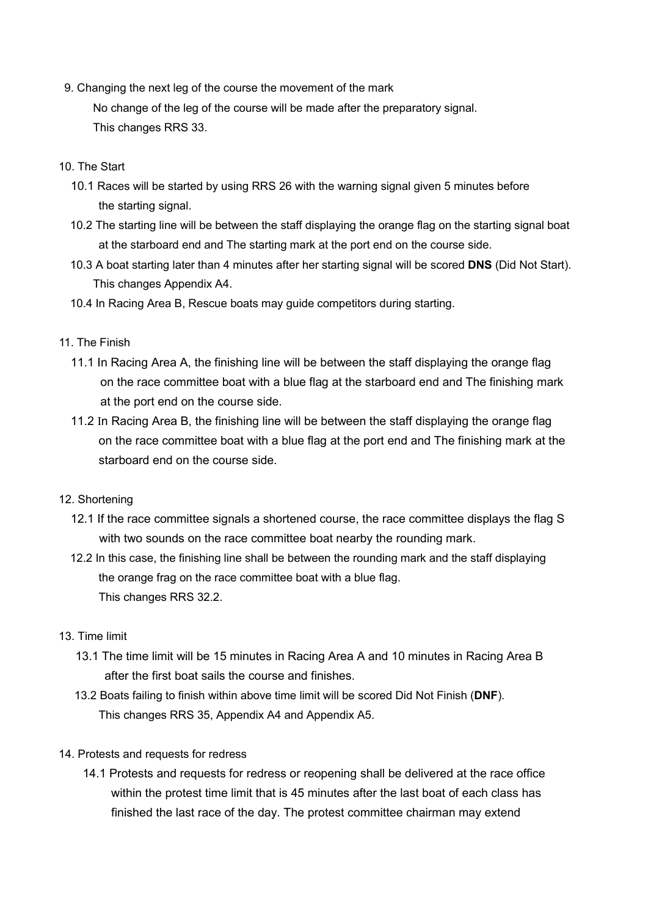9. Changing the next leg of the course the movement of the mark

 No change of the leg of the course will be made after the preparatory signal. This changes RRS 33.

- 10. The Start
	- 10.1 Races will be started by using RRS 26 with the warning signal given 5 minutes before the starting signal.
	- 10.2 The starting line will be between the staff displaying the orange flag on the starting signal boat at the starboard end and The starting mark at the port end on the course side.
	- 10.3 A boat starting later than 4 minutes after her starting signal will be scored **DNS** (Did Not Start). This changes Appendix A4.
	- 10.4 In Racing Area B, Rescue boats may guide competitors during starting.

#### 11. The Finish

- 11.1 In Racing Area A, the finishing line will be between the staff displaying the orange flag on the race committee boat with a blue flag at the starboard end and The finishing mark at the port end on the course side.
- 11.2 In Racing Area B, the finishing line will be between the staff displaying the orange flag on the race committee boat with a blue flag at the port end and The finishing mark at the starboard end on the course side.

## 12. Shortening

- 12.1 If the race committee signals a shortened course, the race committee displays the flag S with two sounds on the race committee boat nearby the rounding mark.
- 12.2 In this case, the finishing line shall be between the rounding mark and the staff displaying the orange frag on the race committee boat with a blue flag. This changes RRS 32.2.

## 13. Time limit

- 13.1 The time limit will be 15 minutes in Racing Area A and 10 minutes in Racing Area B after the first boat sails the course and finishes.
- 13.2 Boats failing to finish within above time limit will be scored Did Not Finish (**DNF**). This changes RRS 35, Appendix A4 and Appendix A5.

## 14. Protests and requests for redress

 14.1 Protests and requests for redress or reopening shall be delivered at the race office within the protest time limit that is 45 minutes after the last boat of each class has finished the last race of the day. The protest committee chairman may extend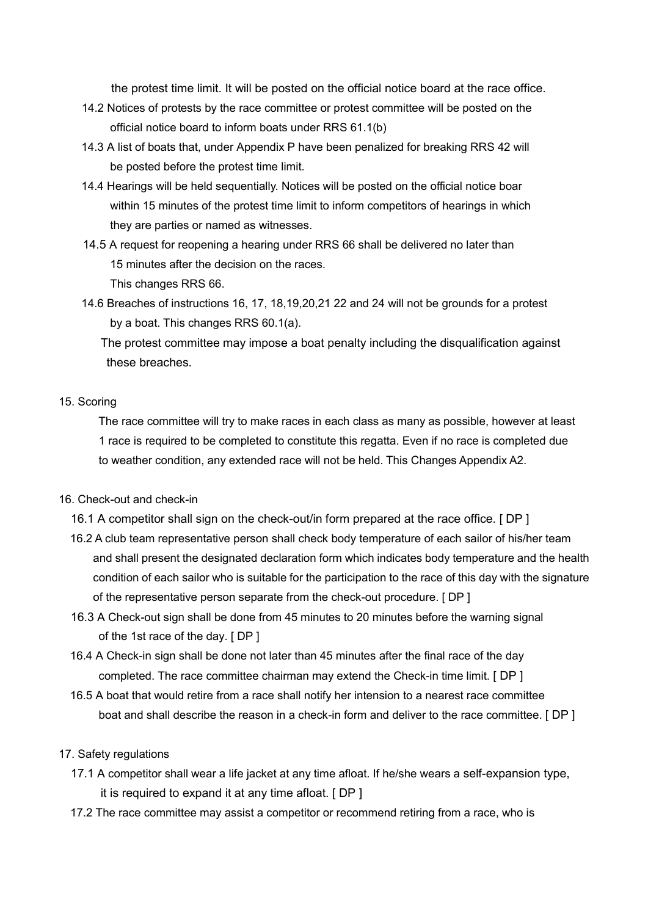the protest time limit. It will be posted on the official notice board at the race office.

- 14.2 Notices of protests by the race committee or protest committee will be posted on the official notice board to inform boats under RRS 61.1(b)
- 14.3 A list of boats that, under Appendix P have been penalized for breaking RRS 42 will be posted before the protest time limit.
- 14.4 Hearings will be held sequentially. Notices will be posted on the official notice boar within 15 minutes of the protest time limit to inform competitors of hearings in which they are parties or named as witnesses.
- 14.5 A request for reopening a hearing under RRS 66 shall be delivered no later than 15 minutes after the decision on the races.

This changes RRS 66.

 14.6 Breaches of instructions 16, 17, 18,19,20,21 22 and 24 will not be grounds for a protest by a boat. This changes RRS 60.1(a).

 The protest committee may impose a boat penalty including the disqualification against these breaches.

#### 15. Scoring

 The race committee will try to make races in each class as many as possible, however at least 1 race is required to be completed to constitute this regatta. Even if no race is completed due to weather condition, any extended race will not be held. This Changes Appendix A2.

## 16. Check-out and check-in

- 16.1 A competitor shall sign on the check-out/in form prepared at the race office. [ DP ]
- 16.2 A club team representative person shall check body temperature of each sailor of his/her team and shall present the designated declaration form which indicates body temperature and the health condition of each sailor who is suitable for the participation to the race of this day with the signature of the representative person separate from the check-out procedure. [ DP ]
- 16.3 A Check-out sign shall be done from 45 minutes to 20 minutes before the warning signal of the 1st race of the day. [ DP ]
- 16.4 A Check-in sign shall be done not later than 45 minutes after the final race of the day completed. The race committee chairman may extend the Check-in time limit. [ DP ]
- 16.5 A boat that would retire from a race shall notify her intension to a nearest race committee boat and shall describe the reason in a check-in form and deliver to the race committee. [ DP ]

#### 17. Safety regulations

- 17.1 A competitor shall wear a life jacket at any time afloat. If he/she wears a self-expansion type, it is required to expand it at any time afloat. [ DP ]
- 17.2 The race committee may assist a competitor or recommend retiring from a race, who is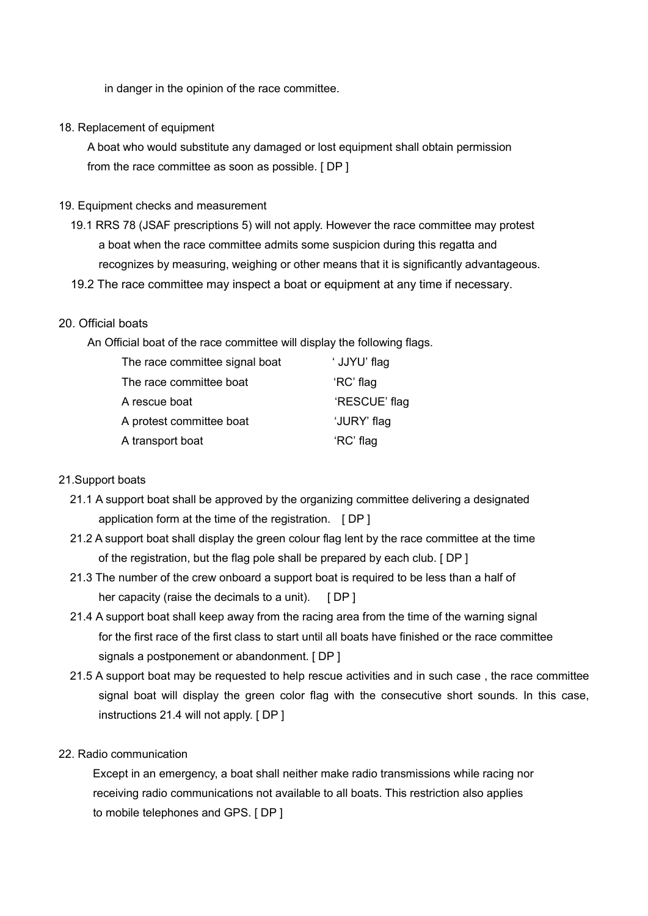in danger in the opinion of the race committee.

#### 18. Replacement of equipment

A boat who would substitute any damaged or lost equipment shall obtain permission from the race committee as soon as possible. [ DP ]

#### 19. Equipment checks and measurement

- 19.1 RRS 78 (JSAF prescriptions 5) will not apply. However the race committee may protest a boat when the race committee admits some suspicion during this regatta and recognizes by measuring, weighing or other means that it is significantly advantageous.
- 19.2 The race committee may inspect a boat or equipment at any time if necessary.

#### 20. Official boats

An Official boat of the race committee will display the following flags.

| The race committee signal boat | ' JJYU' flag  |
|--------------------------------|---------------|
| The race committee boat        | 'RC' flag     |
| A rescue boat                  | 'RESCUE' flag |
| A protest committee boat       | 'JURY' flag   |
| A transport boat               | 'RC' flag     |

#### 21.Support boats

- 21.1 A support boat shall be approved by the organizing committee delivering a designated application form at the time of the registration. [ DP ]
- 21.2 A support boat shall display the green colour flag lent by the race committee at the time of the registration, but the flag pole shall be prepared by each club. [ DP ]
- 21.3 The number of the crew onboard a support boat is required to be less than a half of her capacity (raise the decimals to a unit).  $[DP]$
- 21.4 A support boat shall keep away from the racing area from the time of the warning signal for the first race of the first class to start until all boats have finished or the race committee signals a postponement or abandonment. [ DP ]
- 21.5 A support boat may be requested to help rescue activities and in such case , the race committee signal boat will display the green color flag with the consecutive short sounds. In this case, instructions 21.4 will not apply. [ DP ]

#### 22. Radio communication

 Except in an emergency, a boat shall neither make radio transmissions while racing nor receiving radio communications not available to all boats. This restriction also applies to mobile telephones and GPS. [ DP ]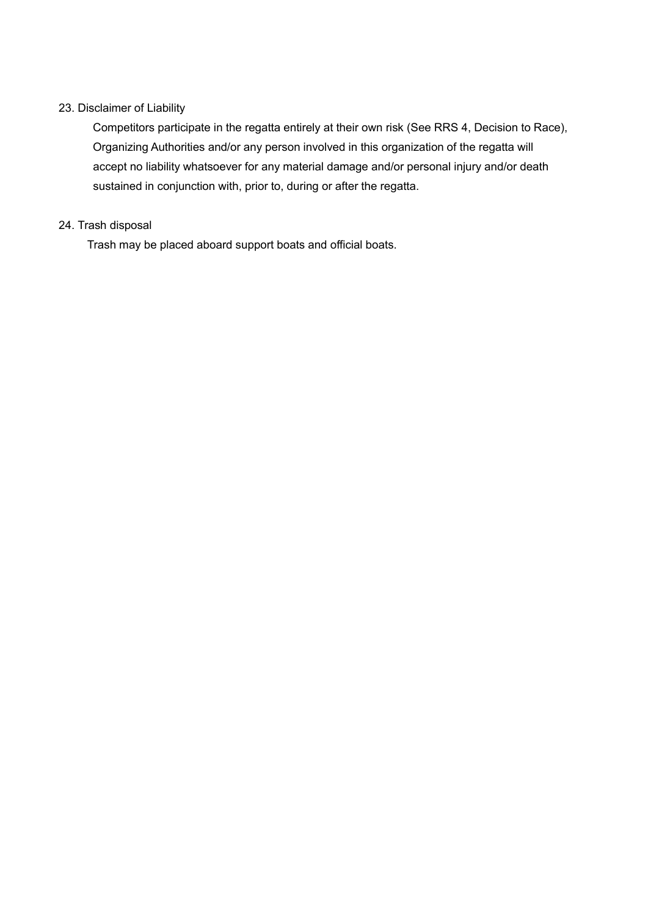## 23. Disclaimer of Liability

 Competitors participate in the regatta entirely at their own risk (See RRS 4, Decision to Race), Organizing Authorities and/or any person involved in this organization of the regatta will accept no liability whatsoever for any material damage and/or personal injury and/or death sustained in conjunction with, prior to, during or after the regatta.

## 24. Trash disposal

Trash may be placed aboard support boats and official boats.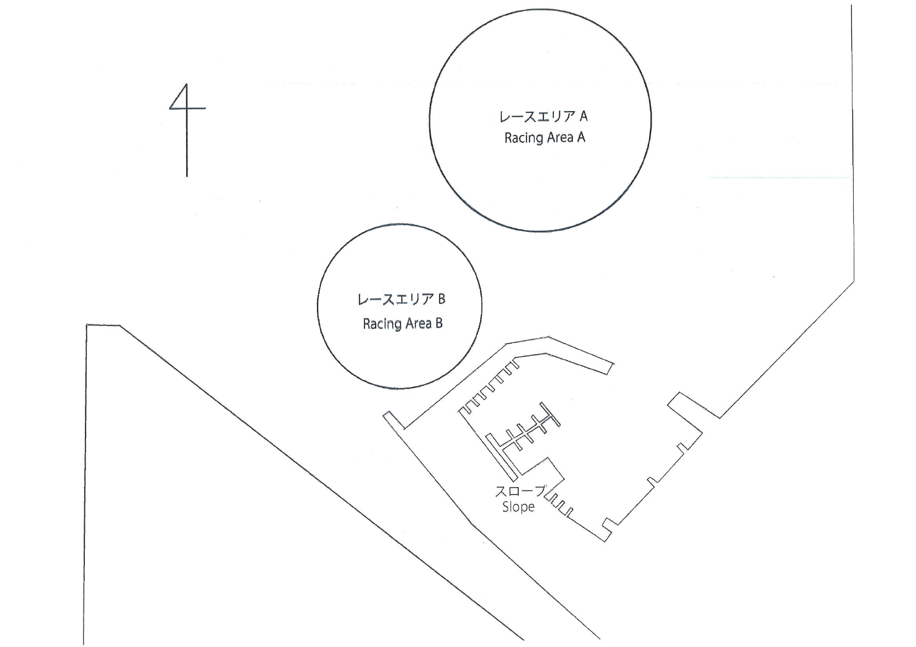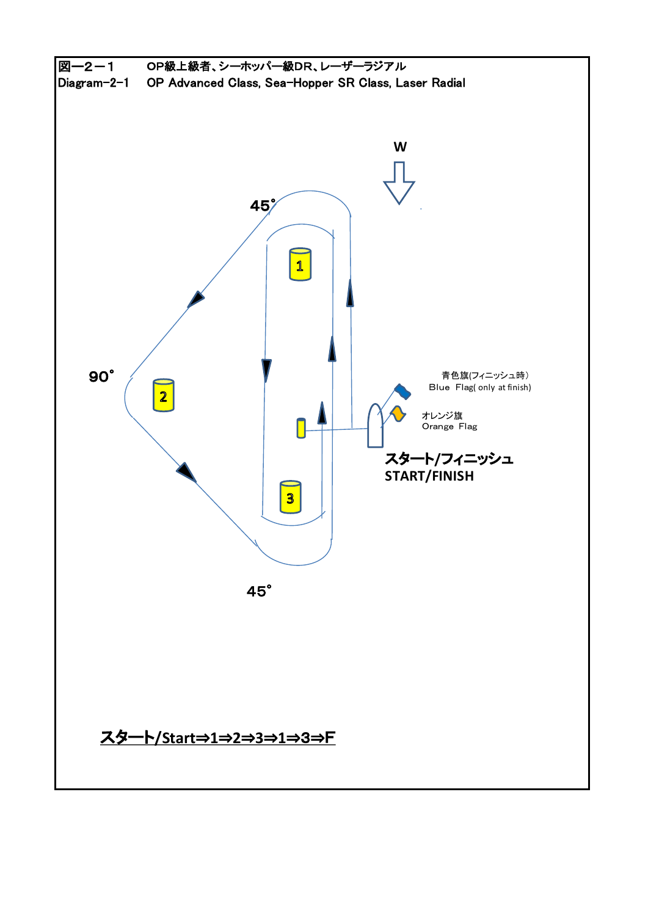